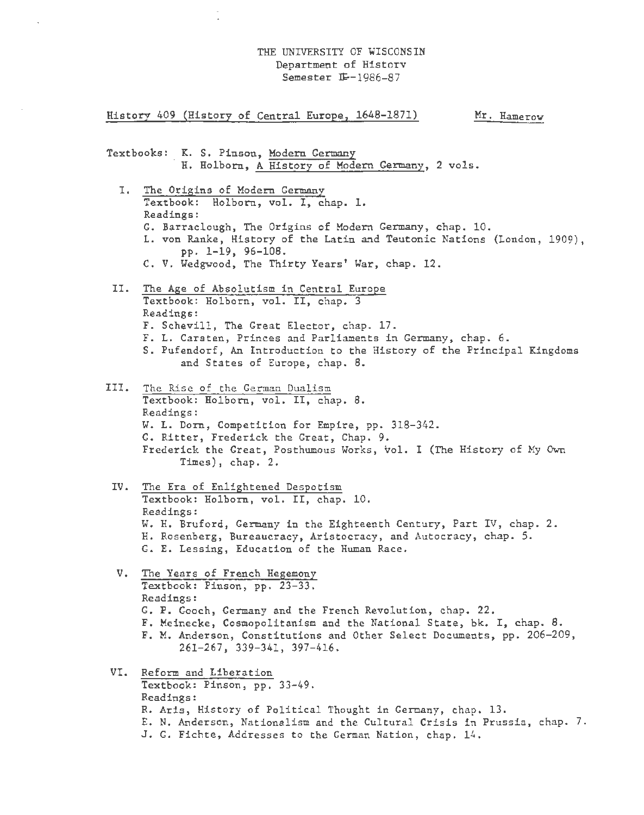## THE UNIVERSITY OF WISCONSIN Department of Historv Semester  $I\!F-1986-87$

History 409 (History of Central Europe, 1648-1871) Mr. Hamerow

Textbooks: K. S. Pinson, Modern Germany H. Holborn, A History of Modern Germany, 2 vols.

- I. The Origins of Modern Germany Textbook: Holborn, vol. I, chap. 1. Readings: G. Barraclough, The Origins of Modern Germany, chap. 10. L. von Ranke, History of the Latin and Teutonic Nations (London, 1909), pp. 1-19, 96-108. C. V. Wedgwood, The Thirty Years' War, chap. 12.
- II. The Age of Absolutism in Central Europe Textbook: Holborn, vol. II, chap. 3 Readings: F. Schevill, The Great Elector, chap. 17. F. L. Carsten, Princes and Parliaments in Germany, chap. 6. S. Pufendorf, An Introduction to the History of the Principal Kingdoms and States of Europe, chap. 8.
- III. The Rise of the German Dualism Textbook: Holborn, vol. II, chap. 8. Readings: W. L. Dorn, Competition for Empire, pp. 318-342. G. Ritter, Frederick the Great, Chap. 9. Frederick the Great, Posthumous Works, vol. I (The History of My Own Times), chap. 2.
- IV. The Era of Enlightened Despotism Textbook: Holborn, vol. II, chap. 10. Readings: W. H. Bruford, Germany in the Eighteenth Century, Part IV, chap. 2. H. Rosenberg, Bureaucracy, Aristocracy, and Autocracy, chap. 5. G. E. Lessing, Education of the Human Race.
- V. The Years of French Hegemony Textbook: Pinson, pp. 23-33. Readings: G. P. Gooch, Germany and the French Revolution, chap. 22. F. Meinecke, Cosmopolitanism and the National State, bk. I, chap. 8. F. M. Anderson, Constitutions and Other Select Documents, pp. 206-209, 261-267, 339-341, 397-416.
- VI. Reform and Liberation Textbook: Pinson, pp. 33-49. Readings: R. Aris, History of Political Thought in Germany, chap. 13. E. N. Anderson, Nationalism and the Cultural Crisis in Prussia, chap. 7. J. G. Fichte, Addresses to the German Nation, chap. 14.